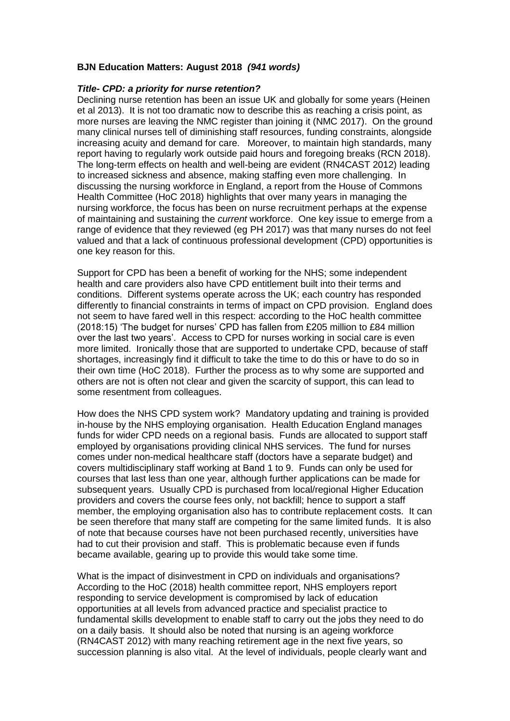## **BJN Education Matters: August 2018** *(941 words)*

## *Title- CPD: a priority for nurse retention?*

Declining nurse retention has been an issue UK and globally for some years (Heinen et al 2013). It is not too dramatic now to describe this as reaching a crisis point, as more nurses are leaving the NMC register than joining it (NMC 2017). On the ground many clinical nurses tell of diminishing staff resources, funding constraints, alongside increasing acuity and demand for care. Moreover, to maintain high standards, many report having to regularly work outside paid hours and foregoing breaks (RCN 2018). The long-term effects on health and well-being are evident (RN4CAST 2012) leading to increased sickness and absence, making staffing even more challenging. In discussing the nursing workforce in England, a report from the House of Commons Health Committee (HoC 2018) highlights that over many years in managing the nursing workforce, the focus has been on nurse recruitment perhaps at the expense of maintaining and sustaining the *current* workforce. One key issue to emerge from a range of evidence that they reviewed (eg PH 2017) was that many nurses do not feel valued and that a lack of continuous professional development (CPD) opportunities is one key reason for this.

Support for CPD has been a benefit of working for the NHS; some independent health and care providers also have CPD entitlement built into their terms and conditions. Different systems operate across the UK; each country has responded differently to financial constraints in terms of impact on CPD provision. England does not seem to have fared well in this respect: according to the HoC health committee (2018:15) 'The budget for nurses' CPD has fallen from £205 million to £84 million over the last two years'. Access to CPD for nurses working in social care is even more limited. Ironically those that are supported to undertake CPD, because of staff shortages, increasingly find it difficult to take the time to do this or have to do so in their own time (HoC 2018). Further the process as to why some are supported and others are not is often not clear and given the scarcity of support, this can lead to some resentment from colleagues.

How does the NHS CPD system work? Mandatory updating and training is provided in-house by the NHS employing organisation. Health Education England manages funds for wider CPD needs on a regional basis. Funds are allocated to support staff employed by organisations providing clinical NHS services. The fund for nurses comes under non-medical healthcare staff (doctors have a separate budget) and covers multidisciplinary staff working at Band 1 to 9. Funds can only be used for courses that last less than one year, although further applications can be made for subsequent years. Usually CPD is purchased from local/regional Higher Education providers and covers the course fees only, not backfill; hence to support a staff member, the employing organisation also has to contribute replacement costs. It can be seen therefore that many staff are competing for the same limited funds. It is also of note that because courses have not been purchased recently, universities have had to cut their provision and staff. This is problematic because even if funds became available, gearing up to provide this would take some time.

What is the impact of disinvestment in CPD on individuals and organisations? According to the HoC (2018) health committee report, NHS employers report responding to service development is compromised by lack of education opportunities at all levels from advanced practice and specialist practice to fundamental skills development to enable staff to carry out the jobs they need to do on a daily basis. It should also be noted that nursing is an ageing workforce (RN4CAST 2012) with many reaching retirement age in the next five years, so succession planning is also vital. At the level of individuals, people clearly want and